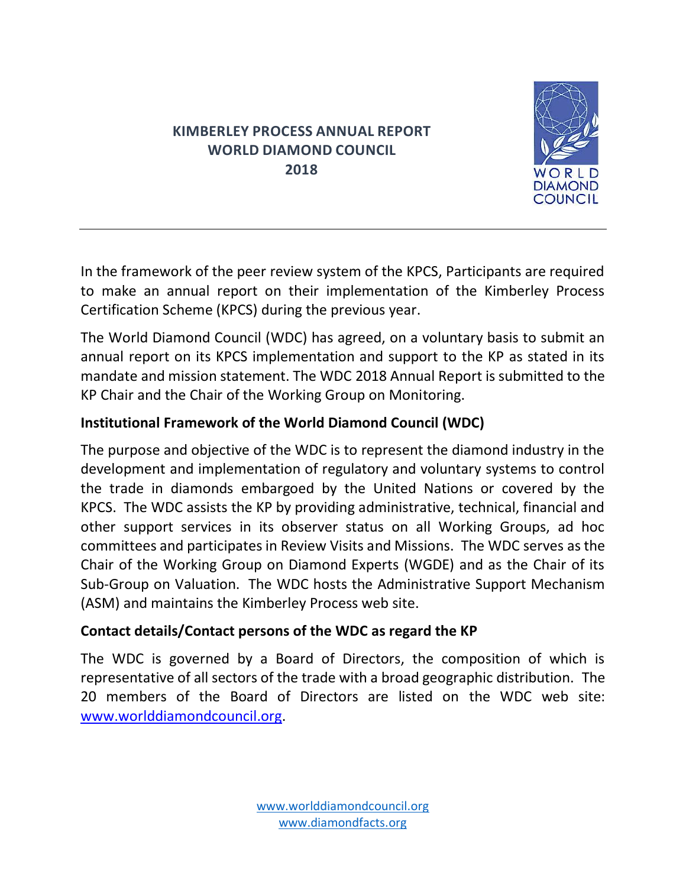# **KIMBERLEY PROCESS ANNUAL REPORT WORLD DIAMOND COUNCIL 2018**



In the framework of the peer review system of the KPCS, Participants are required to make an annual report on their implementation of the Kimberley Process Certification Scheme (KPCS) during the previous year.

The World Diamond Council (WDC) has agreed, on a voluntary basis to submit an annual report on its KPCS implementation and support to the KP as stated in its mandate and mission statement. The WDC 2018 Annual Report is submitted to the KP Chair and the Chair of the Working Group on Monitoring.

## **Institutional Framework of the World Diamond Council (WDC)**

The purpose and objective of the WDC is to represent the diamond industry in the development and implementation of regulatory and voluntary systems to control the trade in diamonds embargoed by the United Nations or covered by the KPCS. The WDC assists the KP by providing administrative, technical, financial and other support services in its observer status on all Working Groups, ad hoc committees and participates in Review Visits and Missions. The WDC serves as the Chair of the Working Group on Diamond Experts (WGDE) and as the Chair of its Sub-Group on Valuation. The WDC hosts the Administrative Support Mechanism (ASM) and maintains the Kimberley Process web site.

## **Contact details/Contact persons of the WDC as regard the KP**

The WDC is governed by a Board of Directors, the composition of which is representative of all sectors of the trade with a broad geographic distribution. The 20 members of the Board of Directors are listed on the WDC web site: [www.worlddiamondcouncil.org.](http://www.worlddiamondcouncil.org/)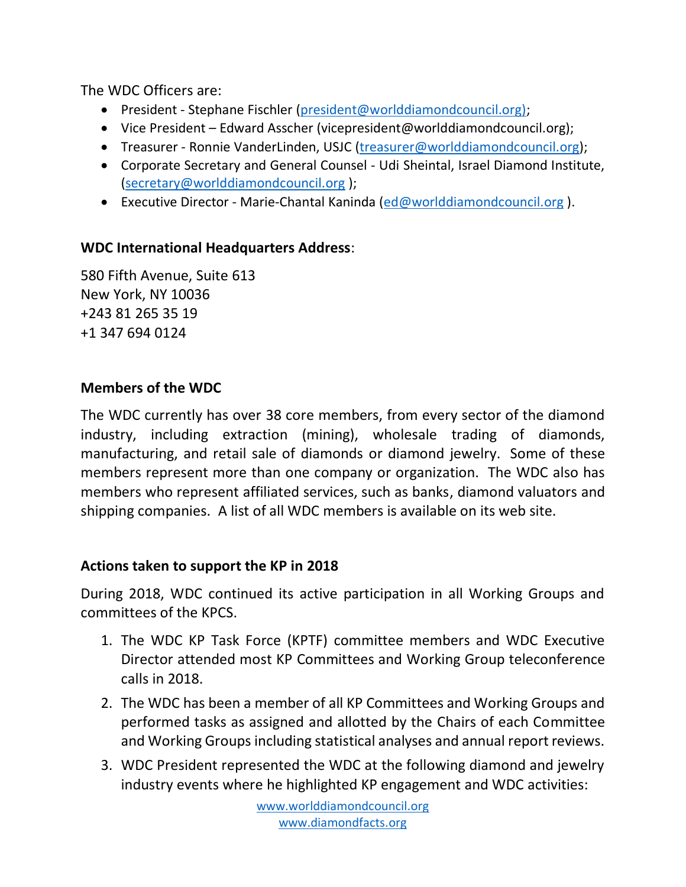The WDC Officers are:

- President Stephane Fischler [\(president@worlddiamondcouncil.org\);](mailto:president@worlddiamondcouncil.org))
- Vice President Edward Asscher (vicepresident@worlddiamondcouncil.org);
- Treasurer Ronnie VanderLinden, USJC [\(treasurer@worlddiamondcouncil.org\)](mailto:treasurer@worlddiamondcouncil.org);
- Corporate Secretary and General Counsel Udi Sheintal, Israel Diamond Institute, [\(secretary@worlddiamondcouncil.org](mailto:secretary@worlddiamondcouncil.org) );
- Executive Director Marie-Chantal Kaninda [\(ed@worlddiamondcouncil.org](mailto:ed@worlddiamondcouncil.org)).

## **WDC International Headquarters Address**:

580 Fifth Avenue, Suite 613 New York, NY 10036 +243 81 265 35 19 +1 347 694 0124

#### **Members of the WDC**

The WDC currently has over 38 core members, from every sector of the diamond industry, including extraction (mining), wholesale trading of diamonds, manufacturing, and retail sale of diamonds or diamond jewelry. Some of these members represent more than one company or organization. The WDC also has members who represent affiliated services, such as banks, diamond valuators and shipping companies. A list of all WDC members is available on its web site.

#### **Actions taken to support the KP in 2018**

During 2018, WDC continued its active participation in all Working Groups and committees of the KPCS.

- 1. The WDC KP Task Force (KPTF) committee members and WDC Executive Director attended most KP Committees and Working Group teleconference calls in 2018.
- 2. The WDC has been a member of all KP Committees and Working Groups and performed tasks as assigned and allotted by the Chairs of each Committee and Working Groups including statistical analyses and annual report reviews.
- 3. WDC President represented the WDC at the following diamond and jewelry industry events where he highlighted KP engagement and WDC activities: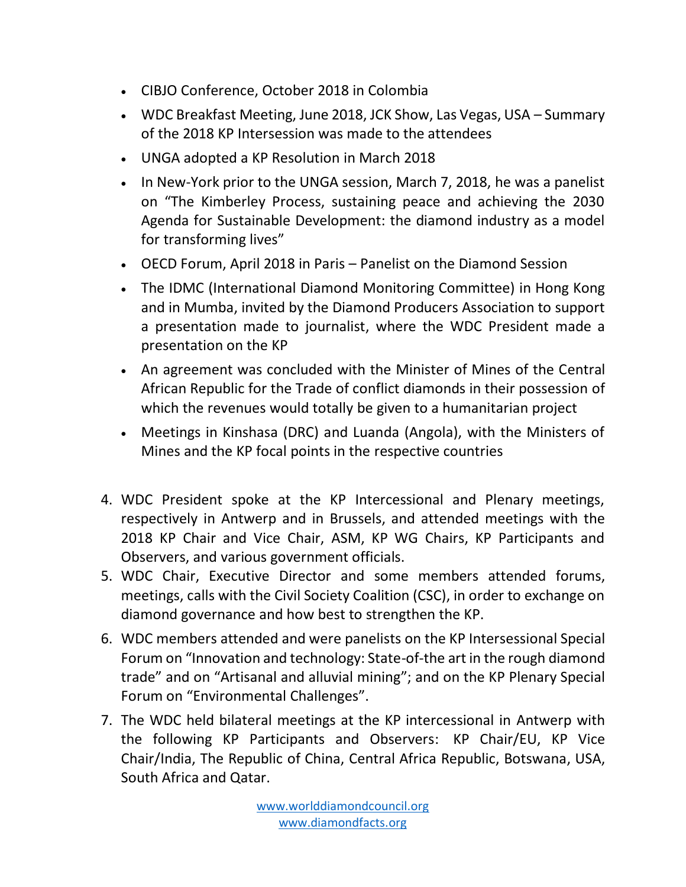- CIBJO Conference, October 2018 in Colombia
- WDC Breakfast Meeting, June 2018, JCK Show, Las Vegas, USA Summary of the 2018 KP Intersession was made to the attendees
- UNGA adopted a KP Resolution in March 2018
- In New-York prior to the UNGA session, March 7, 2018, he was a panelist on "The Kimberley Process, sustaining peace and achieving the 2030 Agenda for Sustainable Development: the diamond industry as a model for transforming lives"
- OECD Forum, April 2018 in Paris Panelist on the Diamond Session
- The IDMC (International Diamond Monitoring Committee) in Hong Kong and in Mumba, invited by the Diamond Producers Association to support a presentation made to journalist, where the WDC President made a presentation on the KP
- An agreement was concluded with the Minister of Mines of the Central African Republic for the Trade of conflict diamonds in their possession of which the revenues would totally be given to a humanitarian project
- Meetings in Kinshasa (DRC) and Luanda (Angola), with the Ministers of Mines and the KP focal points in the respective countries
- 4. WDC President spoke at the KP Intercessional and Plenary meetings, respectively in Antwerp and in Brussels, and attended meetings with the 2018 KP Chair and Vice Chair, ASM, KP WG Chairs, KP Participants and Observers, and various government officials.
- 5. WDC Chair, Executive Director and some members attended forums, meetings, calls with the Civil Society Coalition (CSC), in order to exchange on diamond governance and how best to strengthen the KP.
- 6. WDC members attended and were panelists on the KP Intersessional Special Forum on "Innovation and technology: State-of-the art in the rough diamond trade" and on "Artisanal and alluvial mining"; and on the KP Plenary Special Forum on "Environmental Challenges".
- 7. The WDC held bilateral meetings at the KP intercessional in Antwerp with the following KP Participants and Observers: KP Chair/EU, KP Vice Chair/India, The Republic of China, Central Africa Republic, Botswana, USA, South Africa and Qatar.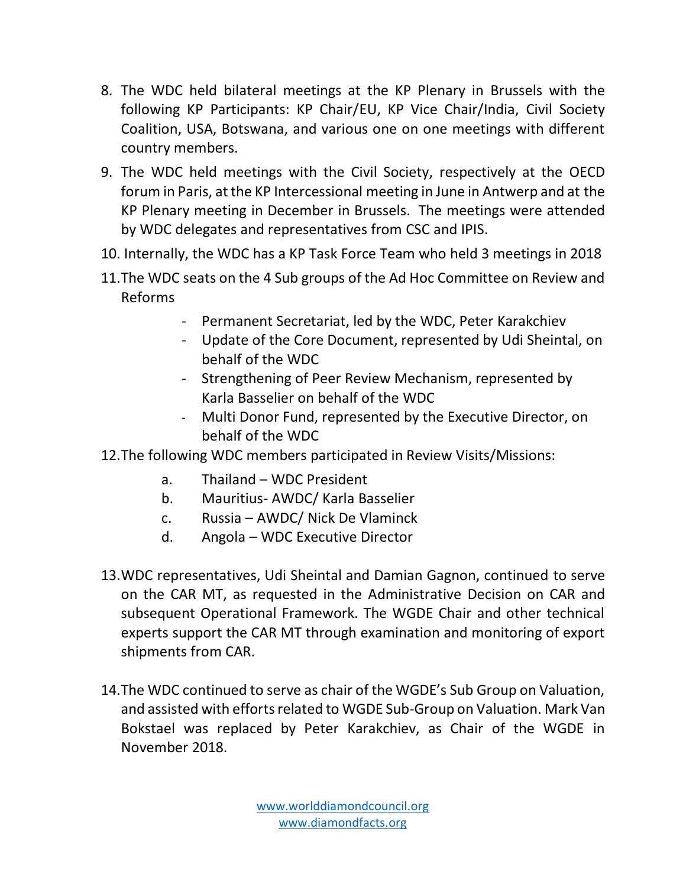- 8. The WDC held bilateral meetings at the KP Plenary in Brussels with the following KP Participants: KP Chair/EU, KP Vice Chair/India, Civil Society Coalition, USA, Botswana, and various one on one meetings with different country members.
- 9. The WDC held meetings with the Civil Society, respectively at the OECD forum in Paris, at the KP Intercessional meeting in June in Antwerp and at the KP Plenary meeting in December in Brussels. The meetings were attended by WDC delegates and representatives from CSC and IPIS.
- 10. Internally, the WDC has a KP Task Force Team who held 3 meetings in 2018
- 11.The WDC seats on the 4 Sub groups of the Ad Hoc Committee on Review and Reforms
	- Permanent Secretariat, led by the WDC, Peter Karakchiev
	- Update of the Core Document, represented by Udi Sheintal, on behalf of the WDC
	- Strengthening of Peer Review Mechanism, represented by Karla Basselier on behalf of the WDC
	- Multi Donor Fund, represented by the Executive Director, on behalf of the WDC
- 12.The following WDC members participated in Review Visits/Missions:
	- a. Thailand WDC President
	- b. Mauritius- AWDC/ Karla Basselier
	- c. Russia AWDC/ Nick De Vlaminck
	- d. Angola WDC Executive Director
- 13.WDC representatives, Udi Sheintal and Damian Gagnon, continued to serve on the CAR MT, as requested in the Administrative Decision on CAR and subsequent Operational Framework. The WGDE Chair and other technical experts support the CAR MT through examination and monitoring of export shipments from CAR.
- 14.The WDC continued to serve as chair of the WGDE's Sub Group on Valuation, and assisted with efforts related to WGDE Sub-Group on Valuation. Mark Van Bokstael was replaced by Peter Karakchiev, as Chair of the WGDE in November 2018.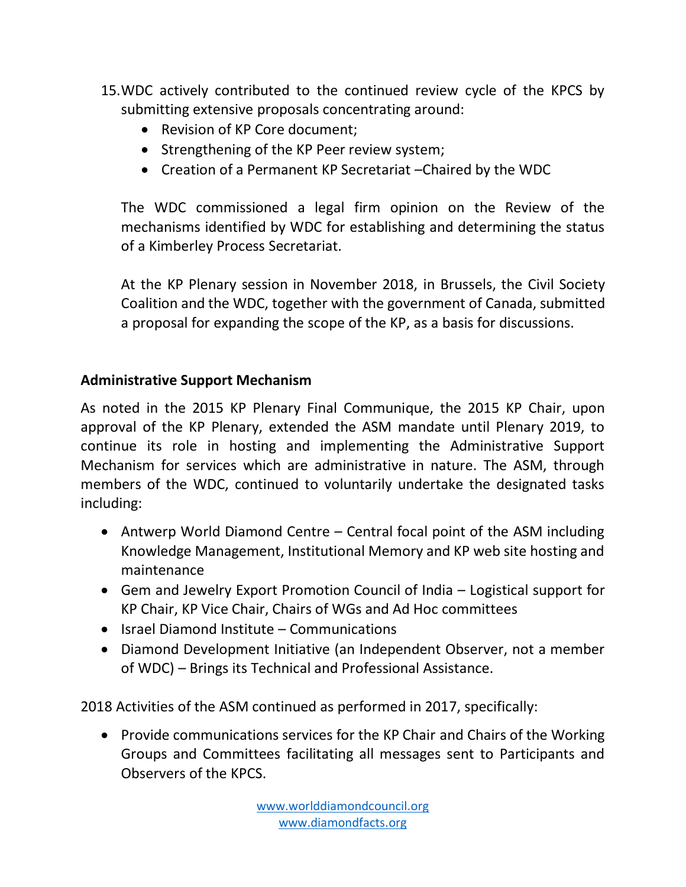- 15.WDC actively contributed to the continued review cycle of the KPCS by submitting extensive proposals concentrating around:
	- Revision of KP Core document;
	- Strengthening of the KP Peer review system;
	- Creation of a Permanent KP Secretariat –Chaired by the WDC

The WDC commissioned a legal firm opinion on the Review of the mechanisms identified by WDC for establishing and determining the status of a Kimberley Process Secretariat.

At the KP Plenary session in November 2018, in Brussels, the Civil Society Coalition and the WDC, together with the government of Canada, submitted a proposal for expanding the scope of the KP, as a basis for discussions.

## **Administrative Support Mechanism**

As noted in the 2015 KP Plenary Final Communique, the 2015 KP Chair, upon approval of the KP Plenary, extended the ASM mandate until Plenary 2019, to continue its role in hosting and implementing the Administrative Support Mechanism for services which are administrative in nature. The ASM, through members of the WDC, continued to voluntarily undertake the designated tasks including:

- Antwerp World Diamond Centre Central focal point of the ASM including Knowledge Management, Institutional Memory and KP web site hosting and maintenance
- Gem and Jewelry Export Promotion Council of India Logistical support for KP Chair, KP Vice Chair, Chairs of WGs and Ad Hoc committees
- Israel Diamond Institute Communications
- Diamond Development Initiative (an Independent Observer, not a member of WDC) – Brings its Technical and Professional Assistance.

2018 Activities of the ASM continued as performed in 2017, specifically:

• Provide communications services for the KP Chair and Chairs of the Working Groups and Committees facilitating all messages sent to Participants and Observers of the KPCS.